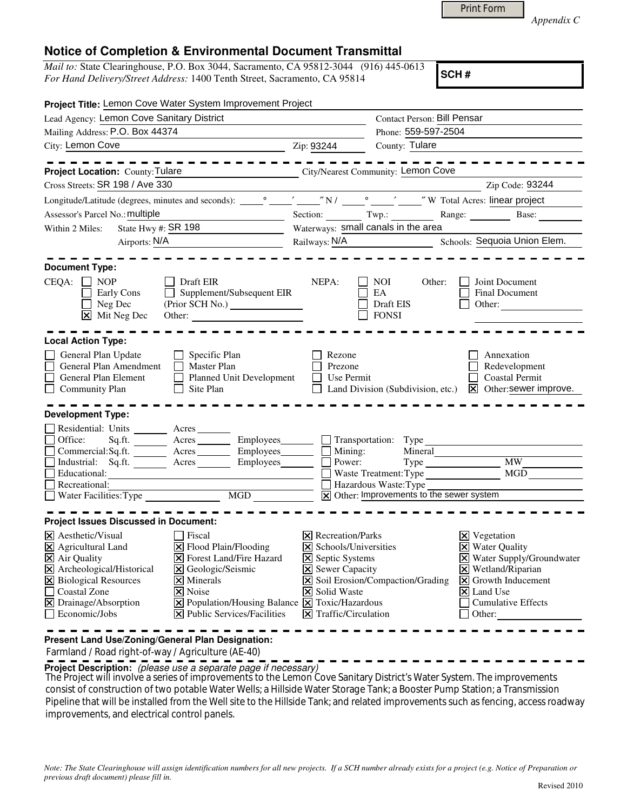|  | <b>Print Form</b> |
|--|-------------------|
|  |                   |

*Appendix C* 

## **Notice of Completion & Environmental Document Transmittal**

*Mail to:* State Clearinghouse, P.O. Box 3044, Sacramento, CA 95812-3044 (916) 445-0613 *For Hand Delivery/Street Address:* 1400 Tenth Street, Sacramento, CA 95814

**SCH #**

| Project Title: Lemon Cove Water System Improvement Project                                                                                                                                                                                                                                                                                                                                                                                                                                     |                                                                                                                                                            |                                                                                                        |                                                                                                                                                                                                                        |  |
|------------------------------------------------------------------------------------------------------------------------------------------------------------------------------------------------------------------------------------------------------------------------------------------------------------------------------------------------------------------------------------------------------------------------------------------------------------------------------------------------|------------------------------------------------------------------------------------------------------------------------------------------------------------|--------------------------------------------------------------------------------------------------------|------------------------------------------------------------------------------------------------------------------------------------------------------------------------------------------------------------------------|--|
| Lead Agency: Lemon Cove Sanitary District                                                                                                                                                                                                                                                                                                                                                                                                                                                      |                                                                                                                                                            | Contact Person: Bill Pensar                                                                            |                                                                                                                                                                                                                        |  |
| Mailing Address: P.O. Box 44374                                                                                                                                                                                                                                                                                                                                                                                                                                                                |                                                                                                                                                            | Phone: 559-597-2504                                                                                    |                                                                                                                                                                                                                        |  |
| City: Lemon Cove<br>$\overline{2ip: } 93244$                                                                                                                                                                                                                                                                                                                                                                                                                                                   |                                                                                                                                                            | County: Tulare                                                                                         |                                                                                                                                                                                                                        |  |
|                                                                                                                                                                                                                                                                                                                                                                                                                                                                                                |                                                                                                                                                            |                                                                                                        |                                                                                                                                                                                                                        |  |
| Project Location: County: Tulare                                                                                                                                                                                                                                                                                                                                                                                                                                                               |                                                                                                                                                            | City/Nearest Community: Lemon Cove                                                                     |                                                                                                                                                                                                                        |  |
| Cross Streets: SR 198 / Ave 330                                                                                                                                                                                                                                                                                                                                                                                                                                                                |                                                                                                                                                            |                                                                                                        | Zip Code: 93244                                                                                                                                                                                                        |  |
|                                                                                                                                                                                                                                                                                                                                                                                                                                                                                                |                                                                                                                                                            |                                                                                                        |                                                                                                                                                                                                                        |  |
| Assessor's Parcel No.: multiple<br><u> 1989 - Johann Barbara, martin d</u>                                                                                                                                                                                                                                                                                                                                                                                                                     |                                                                                                                                                            |                                                                                                        | Section: Twp.: Range: Base:                                                                                                                                                                                            |  |
| State Hwy #: $SR$ 198<br>Within 2 Miles:                                                                                                                                                                                                                                                                                                                                                                                                                                                       |                                                                                                                                                            | Waterways: small canals in the area                                                                    |                                                                                                                                                                                                                        |  |
| Airports: N/A                                                                                                                                                                                                                                                                                                                                                                                                                                                                                  |                                                                                                                                                            |                                                                                                        | Railways: N/A<br>Schools: Sequoia Union Elem.                                                                                                                                                                          |  |
|                                                                                                                                                                                                                                                                                                                                                                                                                                                                                                |                                                                                                                                                            |                                                                                                        |                                                                                                                                                                                                                        |  |
| <b>Document Type:</b>                                                                                                                                                                                                                                                                                                                                                                                                                                                                          |                                                                                                                                                            |                                                                                                        |                                                                                                                                                                                                                        |  |
| $CEQA: \Box NOP$<br>Draft EIR<br>Supplement/Subsequent EIR<br>Early Cons<br>$\Box$ Neg Dec<br>$\boxtimes$ Mit Neg Dec<br>Other:                                                                                                                                                                                                                                                                                                                                                                | NEPA:                                                                                                                                                      | NOI<br>Other:<br>EA<br>Draft EIS<br><b>FONSI</b>                                                       | Joint Document<br>Final Document<br>Other:                                                                                                                                                                             |  |
| <b>Local Action Type:</b>                                                                                                                                                                                                                                                                                                                                                                                                                                                                      |                                                                                                                                                            |                                                                                                        |                                                                                                                                                                                                                        |  |
| General Plan Update<br>$\Box$ Specific Plan<br>$\Box$ Master Plan<br>General Plan Amendment<br>Planned Unit Development<br>General Plan Element<br>$\Box$ Community Plan<br>$\Box$ Site Plan                                                                                                                                                                                                                                                                                                   | Rezone<br>Prezone<br>П<br>Use Permit                                                                                                                       | Land Division (Subdivision, etc.)                                                                      | Annexation<br>Redevelopment<br><b>Coastal Permit</b><br>$\boxed{\mathbf{X}}$ Other: sewer improve.                                                                                                                     |  |
| <b>Development Type:</b>                                                                                                                                                                                                                                                                                                                                                                                                                                                                       |                                                                                                                                                            |                                                                                                        |                                                                                                                                                                                                                        |  |
| Residential: Units ________ Acres _______<br>□ Office: Sq.ft. _______ Acres ________ Employees ________ □ Transportation:<br>□ Commercial:Sq.ft. ________ Acres ________ Employees ________ □ Mining:<br>Sq.ft. _________ Acres __________ Employees_________ ____ Transportation: Type<br>□ Industrial: Sq.ft. <u>New Acres</u> Acres Employees <u>Deprese Bower:</u><br>$\Box$<br>Educational:<br><u> 1989 - Johann Stoff, amerikansk politiker (</u><br>Recreational:<br>$\Box$<br>MGD      |                                                                                                                                                            | Mineral<br>Waste Treatment: Type<br>Hazardous Waste: Type<br>X Other: Improvements to the sewer system | the contract of the contract of the contract of<br>Type MW<br>MGD                                                                                                                                                      |  |
| <b>Project Issues Discussed in Document:</b>                                                                                                                                                                                                                                                                                                                                                                                                                                                   |                                                                                                                                                            |                                                                                                        |                                                                                                                                                                                                                        |  |
| $\vert\mathsf{X}\vert$ Aesthetic/Visual<br><b>Fiscal</b><br>X Agricultural Land<br>X Flood Plain/Flooding<br>$\overline{\mathsf{X}}$ Air Quality<br><b>X</b> Forest Land/Fire Hazard<br>X Archeological/Historical<br>X Geologic/Seismic<br><b>X</b> Biological Resources<br>$\times$ Minerals<br><b>Coastal Zone</b><br>$\overline{\mathsf{x}}$ Noise<br>X Population/Housing Balance X Toxic/Hazardous<br>X Drainage/Absorption<br><b>Public Services/Facilities</b><br>$\Box$ Economic/Jobs | $\boxtimes$ Recreation/Parks<br>X Schools/Universities<br><b>X</b> Septic Systems<br><b>X</b> Sewer Capacity<br>X Solid Waste<br>$\Xi$ Traffic/Circulation | X Soil Erosion/Compaction/Grading                                                                      | $\mathbf{\Sigma}$ Vegetation<br><b>X</b> Water Quality<br>X Water Supply/Groundwater<br>X Wetland/Riparian<br>$\boxed{\mathsf{X}}$ Growth Inducement<br>$ \mathsf{X} $ Land Use<br><b>Cumulative Effects</b><br>Other: |  |
| Present Land Use/Zoning/General Plan Designation:                                                                                                                                                                                                                                                                                                                                                                                                                                              |                                                                                                                                                            |                                                                                                        |                                                                                                                                                                                                                        |  |

Farmland / Road right-of-way / Agriculture (AE-40)

**Project Description:** (please use a separate page if necessary)

The Project will involve a series of improvements to the Lemon Cove Sanitary District's Water System. The improvements consist of construction of two potable Water Wells; a Hillside Water Storage Tank; a Booster Pump Station; a Transmission Pipeline that will be installed from the Well site to the Hillside Tank; and related improvements such as fencing, access roadway improvements, and electrical control panels.